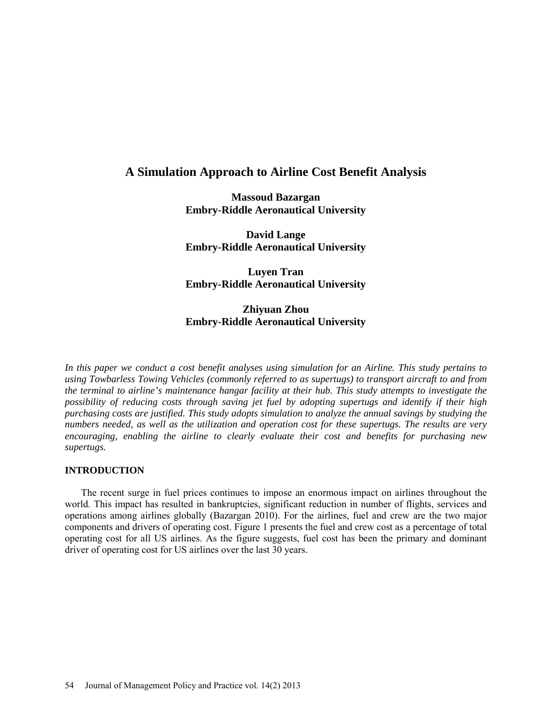# **A Simulation Approach to Airline Cost Benefit Analysis**

**Massoud Bazargan Embry-Riddle Aeronautical University**

**David Lange Embry-Riddle Aeronautical University**

**Luyen Tran Embry-Riddle Aeronautical University**

# **Zhiyuan Zhou Embry-Riddle Aeronautical University**

*In this paper we conduct a cost benefit analyses using simulation for an Airline. This study pertains to using Towbarless Towing Vehicles (commonly referred to as supertugs) to transport aircraft to and from the terminal to airline's maintenance hangar facility at their hub. This study attempts to investigate the possibility of reducing costs through saving jet fuel by adopting supertugs and identify if their high purchasing costs are justified. This study adopts simulation to analyze the annual savings by studying the numbers needed, as well as the utilization and operation cost for these supertugs. The results are very encouraging, enabling the airline to clearly evaluate their cost and benefits for purchasing new supertugs.* 

## **INTRODUCTION**

The recent surge in fuel prices continues to impose an enormous impact on airlines throughout the world. This impact has resulted in bankruptcies, significant reduction in number of flights, services and operations among airlines globally (Bazargan 2010). For the airlines, fuel and crew are the two major components and drivers of operating cost. Figure 1 presents the fuel and crew cost as a percentage of total operating cost for all US airlines. As the figure suggests, fuel cost has been the primary and dominant driver of operating cost for US airlines over the last 30 years.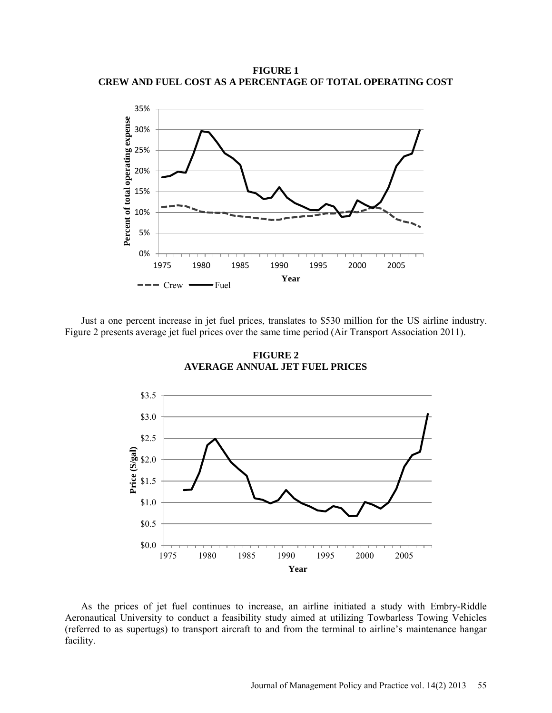**FIGURE 1 CREW AND FUEL COST AS A PERCENTAGE OF TOTAL OPERATING COST**



Just a one percent increase in jet fuel prices, translates to \$530 million for the US airline industry. Figure 2 presents average jet fuel prices over the same time period (Air Transport Association 2011).



**FIGURE 2 AVERAGE ANNUAL JET FUEL PRICES**

As the prices of jet fuel continues to increase, an airline initiated a study with Embry-Riddle Aeronautical University to conduct a feasibility study aimed at utilizing Towbarless Towing Vehicles (referred to as supertugs) to transport aircraft to and from the terminal to airline's maintenance hangar facility.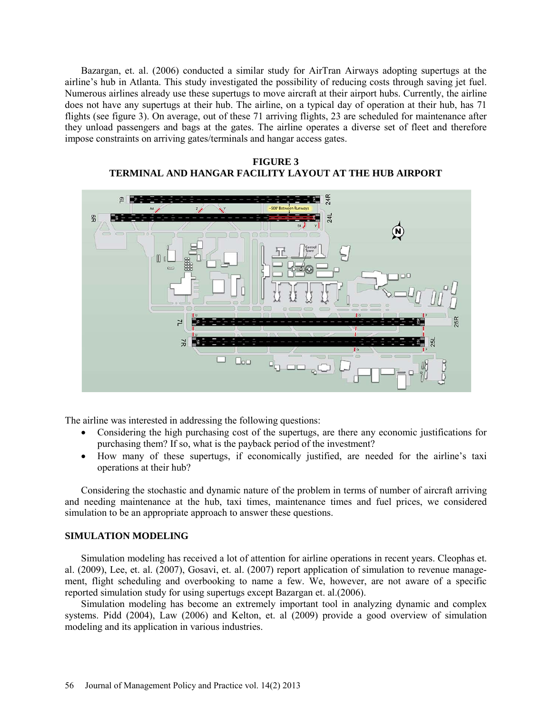Bazargan, et. al. (2006) conducted a similar study for AirTran Airways adopting supertugs at the airline's hub in Atlanta. This study investigated the possibility of reducing costs through saving jet fuel. Numerous airlines already use these supertugs to move aircraft at their airport hubs. Currently, the airline does not have any supertugs at their hub. The airline, on a typical day of operation at their hub, has 71 flights (see figure 3). On average, out of these 71 arriving flights, 23 are scheduled for maintenance after they unload passengers and bags at the gates. The airline operates a diverse set of fleet and therefore impose constraints on arriving gates/terminals and hangar access gates.



**FIGURE 3 TERMINAL AND HANGAR FACILITY LAYOUT AT THE HUB AIRPORT**

The airline was interested in addressing the following questions:

- Considering the high purchasing cost of the supertugs, are there any economic justifications for purchasing them? If so, what is the payback period of the investment?
- How many of these supertugs, if economically justified, are needed for the airline's taxi operations at their hub?

Considering the stochastic and dynamic nature of the problem in terms of number of aircraft arriving and needing maintenance at the hub, taxi times, maintenance times and fuel prices, we considered simulation to be an appropriate approach to answer these questions.

### **SIMULATION MODELING**

Simulation modeling has received a lot of attention for airline operations in recent years. Cleophas et. al. (2009), Lee, et. al. (2007), Gosavi, et. al. (2007) report application of simulation to revenue management, flight scheduling and overbooking to name a few. We, however, are not aware of a specific reported simulation study for using supertugs except Bazargan et. al.(2006).

Simulation modeling has become an extremely important tool in analyzing dynamic and complex systems. Pidd (2004), Law (2006) and Kelton, et. al (2009) provide a good overview of simulation modeling and its application in various industries.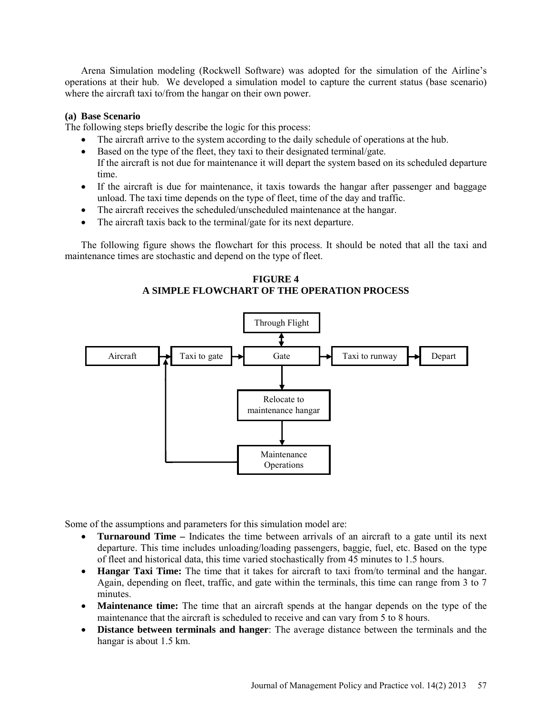Arena Simulation modeling (Rockwell Software) was adopted for the simulation of the Airline's operations at their hub. We developed a simulation model to capture the current status (base scenario) where the aircraft taxi to/from the hangar on their own power.

## **(a) Base Scenario**

The following steps briefly describe the logic for this process:

- The aircraft arrive to the system according to the daily schedule of operations at the hub.
- Based on the type of the fleet, they taxi to their designated terminal/gate. If the aircraft is not due for maintenance it will depart the system based on its scheduled departure time.
- If the aircraft is due for maintenance, it taxis towards the hangar after passenger and baggage unload. The taxi time depends on the type of fleet, time of the day and traffic.
- The aircraft receives the scheduled/unscheduled maintenance at the hangar.
- The aircraft taxis back to the terminal/gate for its next departure.

The following figure shows the flowchart for this process. It should be noted that all the taxi and maintenance times are stochastic and depend on the type of fleet.





Some of the assumptions and parameters for this simulation model are:

- **Turnaround Time** Indicates the time between arrivals of an aircraft to a gate until its next departure. This time includes unloading/loading passengers, baggie, fuel, etc. Based on the type of fleet and historical data, this time varied stochastically from 45 minutes to 1.5 hours.
- **Hangar Taxi Time:** The time that it takes for aircraft to taxi from/to terminal and the hangar. Again, depending on fleet, traffic, and gate within the terminals, this time can range from 3 to 7 minutes.
- **Maintenance time:** The time that an aircraft spends at the hangar depends on the type of the maintenance that the aircraft is scheduled to receive and can vary from 5 to 8 hours.
- **Distance between terminals and hanger**: The average distance between the terminals and the hangar is about 1.5 km.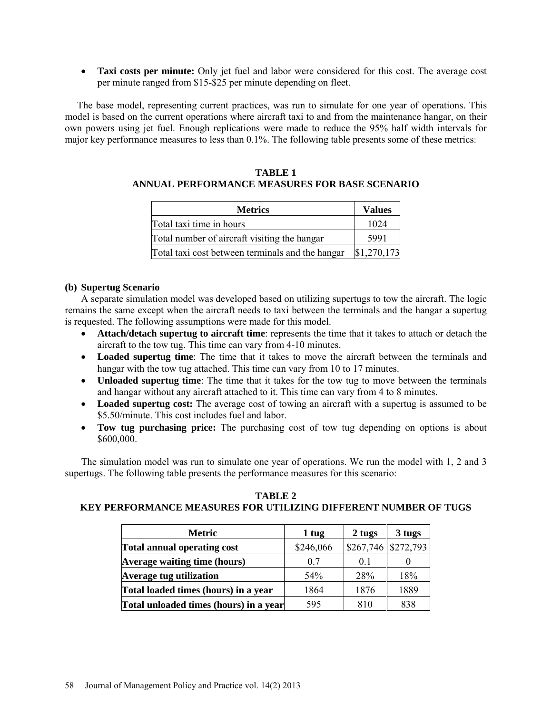**Taxi costs per minute:** Only jet fuel and labor were considered for this cost. The average cost per minute ranged from \$15-\$25 per minute depending on fleet.

The base model, representing current practices, was run to simulate for one year of operations. This model is based on the current operations where aircraft taxi to and from the maintenance hangar, on their own powers using jet fuel. Enough replications were made to reduce the 95% half width intervals for major key performance measures to less than 0.1%. The following table presents some of these metrics:

# **TABLE 1 ANNUAL PERFORMANCE MEASURES FOR BASE SCENARIO**

| <b>Metrics</b>                                   | <b>Values</b> |
|--------------------------------------------------|---------------|
| Total taxi time in hours                         | 1024          |
| Total number of aircraft visiting the hangar     | 5991          |
| Total taxi cost between terminals and the hangar | \$1,270,173   |

## **(b) Supertug Scenario**

A separate simulation model was developed based on utilizing supertugs to tow the aircraft. The logic remains the same except when the aircraft needs to taxi between the terminals and the hangar a supertug is requested. The following assumptions were made for this model.

- **Attach/detach supertug to aircraft time**: represents the time that it takes to attach or detach the aircraft to the tow tug. This time can vary from 4-10 minutes.
- **Loaded supertug time**: The time that it takes to move the aircraft between the terminals and hangar with the tow tug attached. This time can vary from 10 to 17 minutes.
- **Unloaded supertug time**: The time that it takes for the tow tug to move between the terminals and hangar without any aircraft attached to it. This time can vary from 4 to 8 minutes.
- **Loaded supertug cost:** The average cost of towing an aircraft with a supertug is assumed to be \$5.50/minute. This cost includes fuel and labor.
- **Tow tug purchasing price:** The purchasing cost of tow tug depending on options is about \$600,000.

The simulation model was run to simulate one year of operations. We run the model with 1, 2 and 3 supertugs. The following table presents the performance measures for this scenario:

| <b>Metric</b>                          | 1 tug     | 2 tugs              | 3 tugs |
|----------------------------------------|-----------|---------------------|--------|
| Total annual operating cost            | \$246,066 | \$267,746 \$272,793 |        |
| <b>Average waiting time (hours)</b>    | 0.7       | $\overline{0}$ 1    |        |
| Average tug utilization                | 54%       | 28%                 | 18%    |
| Total loaded times (hours) in a year   | 1864      | 1876                | 1889   |
| Total unloaded times (hours) in a year | 595       | 810                 | 838    |

#### **TABLE 2 KEY PERFORMANCE MEASURES FOR UTILIZING DIFFERENT NUMBER OF TUGS**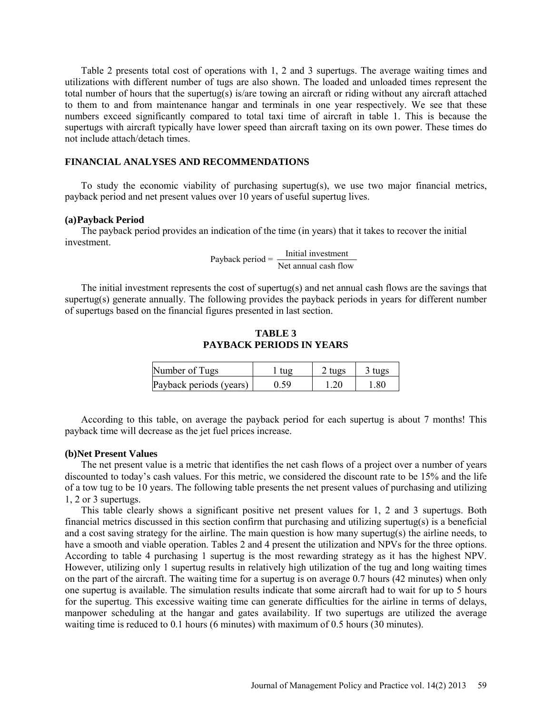Table 2 presents total cost of operations with 1, 2 and 3 supertugs. The average waiting times and utilizations with different number of tugs are also shown. The loaded and unloaded times represent the total number of hours that the supertug(s) is/are towing an aircraft or riding without any aircraft attached to them to and from maintenance hangar and terminals in one year respectively. We see that these numbers exceed significantly compared to total taxi time of aircraft in table 1. This is because the supertugs with aircraft typically have lower speed than aircraft taxing on its own power. These times do not include attach/detach times.

#### **FINANCIAL ANALYSES AND RECOMMENDATIONS**

To study the economic viability of purchasing supertug(s), we use two major financial metrics, payback period and net present values over 10 years of useful supertug lives.

#### **(a)Payback Period**

The payback period provides an indication of the time (in years) that it takes to recover the initial investment.

Payback period =  $\frac{\text{Initial investment}}{\text{Net annual cash flow}}$ 

The initial investment represents the cost of supertug(s) and net annual cash flows are the savings that supertug(s) generate annually. The following provides the payback periods in years for different number of supertugs based on the financial figures presented in last section.

## **TABLE 3 PAYBACK PERIODS IN YEARS**

| Number of Tugs          | tug  | 2 tugs | 3 tugs |
|-------------------------|------|--------|--------|
| Payback periods (years) | 0.59 |        | .80    |

According to this table, on average the payback period for each supertug is about 7 months! This payback time will decrease as the jet fuel prices increase.

#### **(b)Net Present Values**

The net present value is a metric that identifies the net cash flows of a project over a number of years discounted to today's cash values. For this metric, we considered the discount rate to be 15% and the life of a tow tug to be 10 years. The following table presents the net present values of purchasing and utilizing 1, 2 or 3 supertugs.

This table clearly shows a significant positive net present values for 1, 2 and 3 supertugs. Both financial metrics discussed in this section confirm that purchasing and utilizing supertug(s) is a beneficial and a cost saving strategy for the airline. The main question is how many supertug(s) the airline needs, to have a smooth and viable operation. Tables 2 and 4 present the utilization and NPVs for the three options. According to table 4 purchasing 1 supertug is the most rewarding strategy as it has the highest NPV. However, utilizing only 1 supertug results in relatively high utilization of the tug and long waiting times on the part of the aircraft. The waiting time for a supertug is on average 0.7 hours (42 minutes) when only one supertug is available. The simulation results indicate that some aircraft had to wait for up to 5 hours for the supertug. This excessive waiting time can generate difficulties for the airline in terms of delays, manpower scheduling at the hangar and gates availability. If two supertugs are utilized the average waiting time is reduced to 0.1 hours (6 minutes) with maximum of 0.5 hours (30 minutes).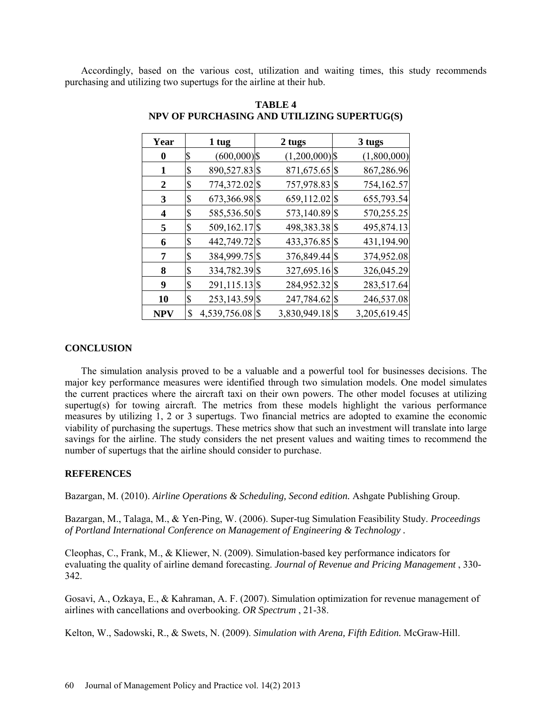Accordingly, based on the various cost, utilization and waiting times, this study recommends purchasing and utilizing two supertugs for the airline at their hub.

| Year       | 1 tug                 | 2 tugs           | 3 tugs       |
|------------|-----------------------|------------------|--------------|
| 0          | \$<br>$(600,000)$ \$  | $(1,200,000)$ \$ | (1,800,000)  |
| 1          | \$<br>890,527.83 \$   | 871,675.65 \$    | 867,286.96   |
| 2          | \$<br>774,372.02 \$   | 757,978.83 \$    | 754,162.57   |
| 3          | \$<br>673,366.98 \$   | 659,112.02 \$    | 655,793.54   |
| 4          | \$<br>585,536.50 \$   | 573,140.89 \$    | 570,255.25   |
| 5          | \$<br>509,162.17 \$   | 498,383.38 \$    | 495,874.13   |
| 6          | \$<br>442,749.72 \$   | 433,376.85 \$    | 431,194.90   |
| 7          | \$<br>384,999.75 \$   | 376,849.44 \$    | 374,952.08   |
| 8          | \$<br>334,782.39 \$   | 327,695.16 \$    | 326,045.29   |
| 9          | \$<br>291,115.13 \$   | 284,952.32 \$    | 283,517.64   |
| 10         | \$<br>253,143.59 \$   | 247,784.62 \$    | 246,537.08   |
| <b>NPV</b> | \$<br>4,539,756.08 \$ | 3,830,949.18 \$  | 3,205,619.45 |

**TABLE 4 NPV OF PURCHASING AND UTILIZING SUPERTUG(S)**

## **CONCLUSION**

The simulation analysis proved to be a valuable and a powerful tool for businesses decisions. The major key performance measures were identified through two simulation models. One model simulates the current practices where the aircraft taxi on their own powers. The other model focuses at utilizing supertug(s) for towing aircraft. The metrics from these models highlight the various performance measures by utilizing 1, 2 or 3 supertugs. Two financial metrics are adopted to examine the economic viability of purchasing the supertugs. These metrics show that such an investment will translate into large savings for the airline. The study considers the net present values and waiting times to recommend the number of supertugs that the airline should consider to purchase.

#### **REFERENCES**

Bazargan, M. (2010). *Airline Operations & Scheduling, Second edition.* Ashgate Publishing Group.

Bazargan, M., Talaga, M., & Yen-Ping, W. (2006). Super-tug Simulation Feasibility Study. *Proceedings of Portland International Conference on Management of Engineering & Technology .*

Cleophas, C., Frank, M., & Kliewer, N. (2009). Simulation-based key performance indicators for evaluating the quality of airline demand forecasting. *Journal of Revenue and Pricing Management* , 330- 342.

Gosavi, A., Ozkaya, E., & Kahraman, A. F. (2007). Simulation optimization for revenue management of airlines with cancellations and overbooking. *OR Spectrum* , 21-38.

Kelton, W., Sadowski, R., & Swets, N. (2009). *Simulation with Arena, Fifth Edition.* McGraw-Hill.